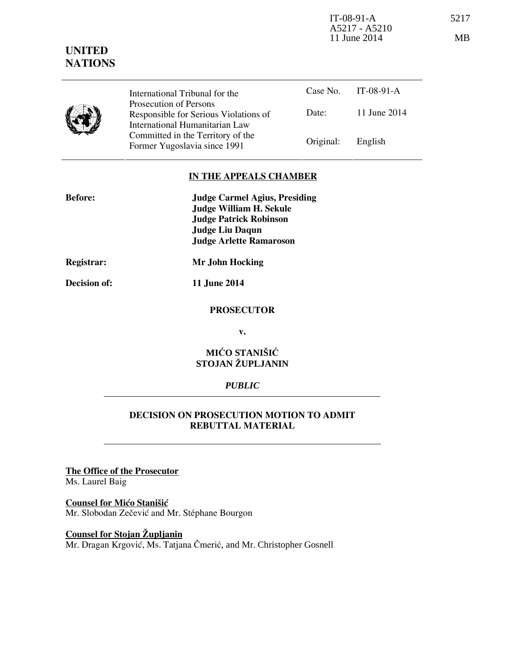IT-08-91-A 5217 A5217 - A5210 11 June 2014 MB

# **UNITED NATIONS**



Prosecution of Persons Responsible for Serious Violations of International Humanitarian Law Committed in the Territory of the Former Yugoslavia since 1991 Original: English

### **IN THE APPEALS CHAMBER**

| <b>Before:</b> | <b>Judge Carmel Agius, Presiding</b> |
|----------------|--------------------------------------|
|                | <b>Judge William H. Sekule</b>       |
|                | <b>Judge Patrick Robinson</b>        |
|                | <b>Judge Liu Daqun</b>               |
|                | <b>Judge Arlette Ramaroson</b>       |
|                |                                      |

**Registrar: Mr John Hocking** 

**Decision of: 11 June 2014** 

#### **PROSECUTOR**

**v.** 

## **MIĆO STANIŠIĆ STOJAN ŽUPLJANIN**

## *PUBLIC*

### **DECISION ON PROSECUTION MOTION TO ADMIT REBUTTAL MATERIAL**

**The Office of the Prosecutor**

Ms. Laurel Baig

# **Counsel for Mićo Stanišić**

Mr. Slobodan Zečević and Mr. Stéphane Bourgon

# **Counsel for Stojan Župljanin**

Mr. Dragan Krgović, Ms. Tatjana Čmerić, and Mr. Christopher Gosnell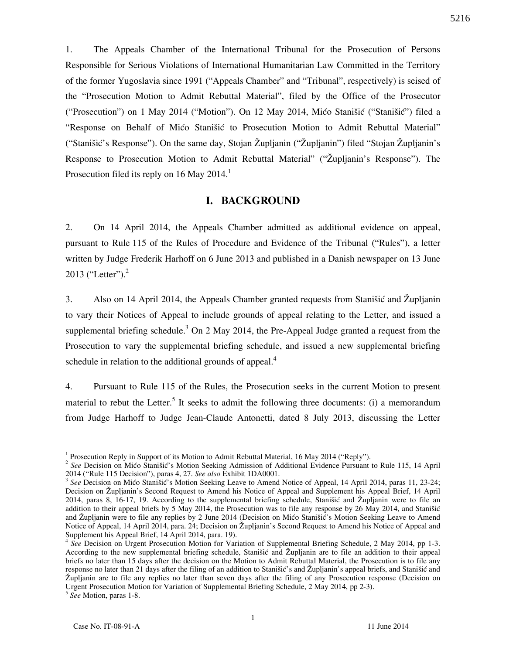1. The Appeals Chamber of the International Tribunal for the Prosecution of Persons Responsible for Serious Violations of International Humanitarian Law Committed in the Territory of the former Yugoslavia since 1991 ("Appeals Chamber" and "Tribunal", respectively) is seised of the "Prosecution Motion to Admit Rebuttal Material", filed by the Office of the Prosecutor ("Prosecution") on 1 May 2014 ("Motion"). On 12 May 2014, Mićo Stanišić ("Stanišić") filed a "Response on Behalf of Mico Stanišic to Prosecution Motion to Admit Rebuttal Material" ("Stanišić's Response"). On the same day, Stojan Župljanin ("Župljanin") filed "Stojan Župljanin's Response to Prosecution Motion to Admit Rebuttal Material" ("Župljanin's Response"). The Prosecution filed its reply on 16 May 2014.<sup>1</sup>

#### **I. BACKGROUND**

2. On 14 April 2014, the Appeals Chamber admitted as additional evidence on appeal, pursuant to Rule 115 of the Rules of Procedure and Evidence of the Tribunal ("Rules"), a letter written by Judge Frederik Harhoff on 6 June 2013 and published in a Danish newspaper on 13 June 2013 ("Letter"). $^{2}$ 

3. Also on 14 April 2014, the Appeals Chamber granted requests from Stanisic and Župljanin to vary their Notices of Appeal to include grounds of appeal relating to the Letter, and issued a supplemental briefing schedule.<sup>3</sup> On 2 May 2014, the Pre-Appeal Judge granted a request from the Prosecution to vary the supplemental briefing schedule, and issued a new supplemental briefing schedule in relation to the additional grounds of appeal. $4$ 

4. Pursuant to Rule 115 of the Rules, the Prosecution seeks in the current Motion to present material to rebut the Letter.<sup>5</sup> It seeks to admit the following three documents: (i) a memorandum from Judge Harhoff to Judge Jean-Claude Antonetti, dated 8 July 2013, discussing the Letter

<sup>&</sup>lt;sup>1</sup> Prosecution Reply in Support of its Motion to Admit Rebuttal Material, 16 May 2014 ("Reply").

<sup>&</sup>lt;sup>2</sup> See Decision on Mićo Stanišić's Motion Seeking Admission of Additional Evidence Pursuant to Rule 115, 14 April 2014 ("Rule 115 Decision"), paras 4, 27. *See also* Exhibit 1DA0001.

<sup>&</sup>lt;sup>3</sup> See Decision on Mićo Stanišić's Motion Seeking Leave to Amend Notice of Appeal, 14 April 2014, paras 11, 23-24; Decision on Župljanin's Second Request to Amend his Notice of Appeal and Supplement his Appeal Brief, 14 April 2014, paras 8,  $16-17$ , 19. According to the supplemental briefing schedule, Stanišić and Župljanin were to file an addition to their appeal briefs by 5 May 2014, the Prosecution was to file any response by 26 May 2014, and Stanišić and Župljanin were to file any replies by 2 June 2014 (Decision on Mićo Stanišić's Motion Seeking Leave to Amend Notice of Appeal, 14 April 2014, para. 24; Decision on Župljanin's Second Request to Amend his Notice of Appeal and Supplement his Appeal Brief, 14 April 2014, para. 19).

<sup>&</sup>lt;sup>4</sup> See Decision on Urgent Prosecution Motion for Variation of Supplemental Briefing Schedule, 2 May 2014, pp 1-3. According to the new supplemental briefing schedule, Stanišić and Župljanin are to file an addition to their appeal briefs no later than 15 days after the decision on the Motion to Admit Rebuttal Material, the Prosecution is to file any response no later than 21 days after the filing of an addition to Stanišić's and Župljanin's appeal briefs, and Stanišić and Župljanin are to file any replies no later than seven days after the filing of any Prosecution response (Decision on Urgent Prosecution Motion for Variation of Supplemental Briefing Schedule, 2 May 2014, pp 2-3).

<sup>5</sup> *See* Motion, paras 1-8.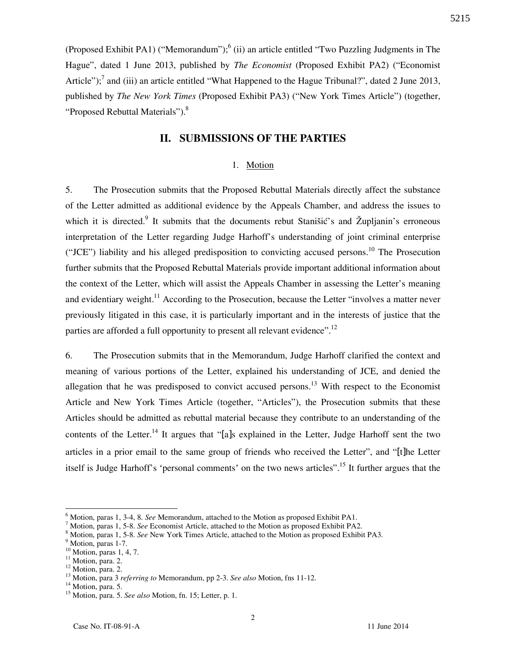(Proposed Exhibit PA1) ("Memorandum");<sup>6</sup> (ii) an article entitled "Two Puzzling Judgments in The Hague", dated 1 June 2013, published by *The Economist* (Proposed Exhibit PA2) ("Economist Article");<sup>7</sup> and (iii) an article entitled "What Happened to the Hague Tribunal?", dated 2 June 2013, published by *The New York Times* (Proposed Exhibit PA3) ("New York Times Article") (together, "Proposed Rebuttal Materials").<sup>8</sup>

### **II. SUBMISSIONS OF THE PARTIES**

#### 1. Motion

5. The Prosecution submits that the Proposed Rebuttal Materials directly affect the substance of the Letter admitted as additional evidence by the Appeals Chamber, and address the issues to which it is directed.<sup>9</sup> It submits that the documents rebut Stanišić's and Župljanin's erroneous interpretation of the Letter regarding Judge Harhoff's understanding of joint criminal enterprise ("JCE") liability and his alleged predisposition to convicting accused persons.<sup>10</sup> The Prosecution further submits that the Proposed Rebuttal Materials provide important additional information about the context of the Letter, which will assist the Appeals Chamber in assessing the Letter's meaning and evidentiary weight.<sup>11</sup> According to the Prosecution, because the Letter "involves a matter never previously litigated in this case, it is particularly important and in the interests of justice that the parties are afforded a full opportunity to present all relevant evidence".<sup>12</sup>

6. The Prosecution submits that in the Memorandum, Judge Harhoff clarified the context and meaning of various portions of the Letter, explained his understanding of JCE, and denied the allegation that he was predisposed to convict accused persons.<sup>13</sup> With respect to the Economist Article and New York Times Article (together, "Articles"), the Prosecution submits that these Articles should be admitted as rebuttal material because they contribute to an understanding of the contents of the Letter.<sup>14</sup> It argues that "[a]s explained in the Letter, Judge Harhoff sent the two articles in a prior email to the same group of friends who received the Letter", and "[t]he Letter itself is Judge Harhoff's 'personal comments' on the two news articles".<sup>15</sup> It further argues that the

 $\overline{a}$ 

<sup>6</sup> Motion, paras 1, 3-4, 8. *See* Memorandum, attached to the Motion as proposed Exhibit PA1.

<sup>7</sup> Motion, paras 1, 5-8. *See* Economist Article, attached to the Motion as proposed Exhibit PA2.

<sup>8</sup> Motion, paras 1, 5-8. *See* New York Times Article, attached to the Motion as proposed Exhibit PA3.

<sup>&</sup>lt;sup>9</sup> Motion, paras 1-7.

 $10$  Motion, paras 1, 4, 7.

<sup>&</sup>lt;sup>11</sup> Motion, para. 2.

<sup>&</sup>lt;sup>12</sup> Motion, para. 2.

<sup>&</sup>lt;sup>13</sup> Motion, para 3 *referring to* Memorandum, pp 2-3. *See also* Motion, fns 11-12.

<sup>&</sup>lt;sup>14</sup> Motion, para. 5.

<sup>15</sup> Motion, para. 5. *See also* Motion, fn. 15; Letter, p. 1.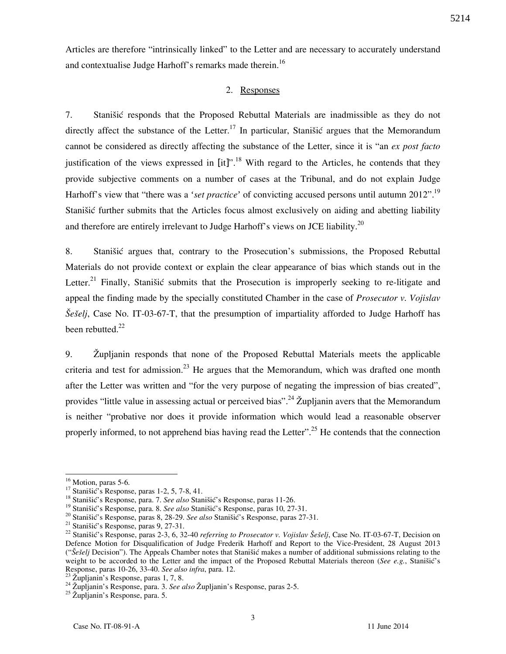Articles are therefore "intrinsically linked" to the Letter and are necessary to accurately understand and contextualise Judge Harhoff's remarks made therein.<sup>16</sup>

#### 2. Responses

7. Stanišić responds that the Proposed Rebuttal Materials are inadmissible as they do not directly affect the substance of the Letter.<sup>17</sup> In particular, Stanišić argues that the Memorandum cannot be considered as directly affecting the substance of the Letter, since it is "an *ex post facto* justification of the views expressed in  $\left[$ it $\right]$ ".<sup>18</sup> With regard to the Articles, he contends that they provide subjective comments on a number of cases at the Tribunal, and do not explain Judge Harhoff's view that "there was a '*set practice*' of convicting accused persons until autumn 2012".<sup>19</sup> Stanišić further submits that the Articles focus almost exclusively on aiding and abetting liability and therefore are entirely irrelevant to Judge Harhoff's views on JCE liability.<sup>20</sup>

8. Stanišić argues that, contrary to the Prosecution's submissions, the Proposed Rebuttal Materials do not provide context or explain the clear appearance of bias which stands out in the Letter.<sup>21</sup> Finally, Stanišić submits that the Prosecution is improperly seeking to re-litigate and appeal the finding made by the specially constituted Chamber in the case of *Prosecutor v. Vojislav Šešelj*, Case No. IT-03-67-T, that the presumption of impartiality afforded to Judge Harhoff has been rebutted. $^{22}$ 

9. Župljanin responds that none of the Proposed Rebuttal Materials meets the applicable criteria and test for admission.<sup>23</sup> He argues that the Memorandum, which was drafted one month after the Letter was written and "for the very purpose of negating the impression of bias created", provides "little value in assessing actual or perceived bias".<sup>24</sup> Župljanin avers that the Memorandum is neither "probative nor does it provide information which would lead a reasonable observer properly informed, to not apprehend bias having read the Letter".<sup>25</sup> He contends that the connection

 $\overline{a}$ 

 $16$  Motion, paras 5-6.

<sup>&</sup>lt;sup>17</sup> Stanišić's Response, paras 1-2, 5, 7-8, 41.

<sup>&</sup>lt;sup>18</sup> Stanišić's Response, para. 7. *See also* Stanišić's Response, paras 11-26.

<sup>&</sup>lt;sup>19</sup> Stanišić's Response, para. 8. *See also* Stanišić's Response, paras 10, 27-31.

<sup>&</sup>lt;sup>20</sup> Stanišić's Response, paras 8, 28-29. *See also* Stanišić's Response, paras 27-31.

 $21$  Stanišić's Response, paras 9, 27-31.

<sup>&</sup>lt;sup>22</sup> Stanišić's Response, paras 2-3, 6, 32-40 *referring to Prosecutor v. Vojislav Šešelj*, Case No. IT-03-67-T, Decision on Defence Motion for Disqualification of Judge Frederik Harhoff and Report to the Vice-President, 28 August 2013 ("*Šešelj* Decision"). The Appeals Chamber notes that Stanišić makes a number of additional submissions relating to the weight to be accorded to the Letter and the impact of the Proposed Rebuttal Materials thereon (*See e.g.*, Stanišić's Response, paras 10-26, 33-40. *See also infra*, para. 12.

 $^{23}$   $\check{Z}$ upljanin's Response, paras 1, 7, 8.

<sup>&</sup>lt;sup>24</sup> Župljanin's Response, para. 3. See also Župljanin's Response, paras 2-5.

 $^{25}$  Župljanin's Response, para. 5.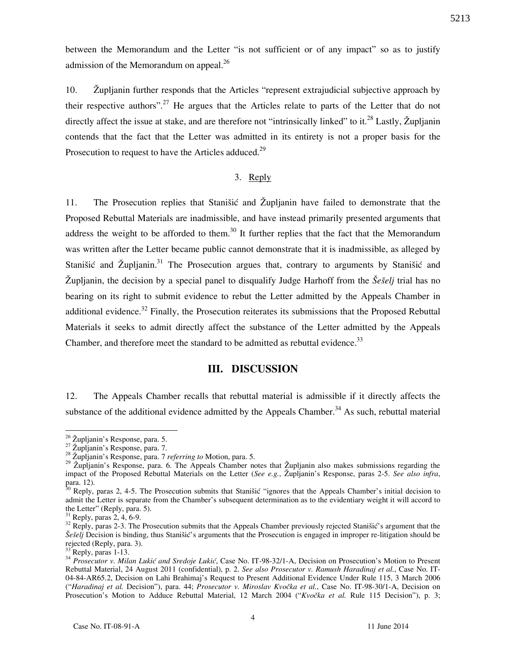between the Memorandum and the Letter "is not sufficient or of any impact" so as to justify admission of the Memorandum on appeal.<sup>26</sup>

10. @upljanin further responds that the Articles "represent extrajudicial subjective approach by their respective authors".<sup>27</sup> He argues that the Articles relate to parts of the Letter that do not directly affect the issue at stake, and are therefore not "intrinsically linked" to it.<sup>28</sup> Lastly, Župljanin contends that the fact that the Letter was admitted in its entirety is not a proper basis for the Prosecution to request to have the Articles adduced.<sup>29</sup>

#### 3. Reply

11. The Prosecution replies that Stanistic and Zupljanin have failed to demonstrate that the Proposed Rebuttal Materials are inadmissible, and have instead primarily presented arguments that address the weight to be afforded to them.<sup>30</sup> It further replies that the fact that the Memorandum was written after the Letter became public cannot demonstrate that it is inadmissible, as alleged by Stanišić and Župljanin.<sup>31</sup> The Prosecution argues that, contrary to arguments by Stanišić and Župljanin, the decision by a special panel to disqualify Judge Harhoff from the *Šešelj* trial has no bearing on its right to submit evidence to rebut the Letter admitted by the Appeals Chamber in additional evidence.<sup>32</sup> Finally, the Prosecution reiterates its submissions that the Proposed Rebuttal Materials it seeks to admit directly affect the substance of the Letter admitted by the Appeals Chamber, and therefore meet the standard to be admitted as rebuttal evidence.<sup>33</sup>

#### **III. DISCUSSION**

12. The Appeals Chamber recalls that rebuttal material is admissible if it directly affects the substance of the additional evidence admitted by the Appeals Chamber.<sup>34</sup> As such, rebuttal material

 $\overline{a}$ 

 $^{26}$  Župljanin's Response, para. 5.

 $27 \times 10^{11}$  anim s  $21.2$  and  $27.2$  and  $27.2$  and  $27.2$ 

<sup>28</sup> @upljanin's Response, para. 7 *referring to* Motion, para. 5.

<sup>&</sup>lt;sup>29</sup> Župljanin's Response, para. 6. The Appeals Chamber notes that Župljanin also makes submissions regarding the impact of the Proposed Rebuttal Materials on the Letter (*See e.g.*, Župljanin's Response, paras 2-5. *See also infra*, para. 12).

 $30$  Reply, paras 2, 4-5. The Prosecution submits that Stanišić "ignores that the Appeals Chamber's initial decision to admit the Letter is separate from the Chamber's subsequent determination as to the evidentiary weight it will accord to the Letter" (Reply, para. 5).

 $31$  Reply, paras 2, 4, 6-9.

 $32$  Reply, paras 2-3. The Prosecution submits that the Appeals Chamber previously rejected Stanišić's argument that the *Šešelj* Decision is binding, thus Stanišić's arguments that the Prosecution is engaged in improper re-litigation should be rejected (Reply, para. 3).

Reply, paras 1-13.

<sup>&</sup>lt;sup>34</sup> *Prosecutor v. Milan Lukić and Sredoje Lukić*, Case No. IT-98-32/1-A, Decision on Prosecution's Motion to Present Rebuttal Material, 24 August 2011 (confidential), p. 2. *See also Prosecutor v. Ramush Haradinaj et al.*, Case No. IT-04-84-AR65.2, Decision on Lahi Brahimaj's Request to Present Additional Evidence Under Rule 115, 3 March 2006 ("Haradinaj et al. Decision"), para. 44; Prosecutor v. Miroslav Kvočka et al., Case No. IT-98-30/1-A, Decision on Prosecution's Motion to Adduce Rebuttal Material, 12 March 2004 ("Kvočka et al. Rule 115 Decision"), p. 3;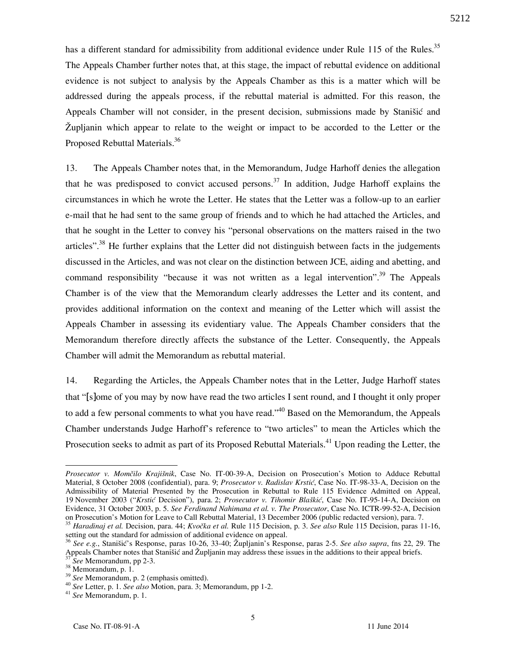has a different standard for admissibility from additional evidence under Rule 115 of the Rules.<sup>35</sup> The Appeals Chamber further notes that, at this stage, the impact of rebuttal evidence on additional evidence is not subject to analysis by the Appeals Chamber as this is a matter which will be addressed during the appeals process, if the rebuttal material is admitted. For this reason, the Appeals Chamber will not consider, in the present decision, submissions made by Stanišić and  $\tilde{Z}$ upljanin which appear to relate to the weight or impact to be accorded to the Letter or the Proposed Rebuttal Materials.<sup>36</sup>

13. The Appeals Chamber notes that, in the Memorandum, Judge Harhoff denies the allegation that he was predisposed to convict accused persons.<sup>37</sup> In addition, Judge Harhoff explains the circumstances in which he wrote the Letter. He states that the Letter was a follow-up to an earlier e-mail that he had sent to the same group of friends and to which he had attached the Articles, and that he sought in the Letter to convey his "personal observations on the matters raised in the two articles".<sup>38</sup> He further explains that the Letter did not distinguish between facts in the judgements discussed in the Articles, and was not clear on the distinction between JCE, aiding and abetting, and command responsibility "because it was not written as a legal intervention".<sup>39</sup> The Appeals Chamber is of the view that the Memorandum clearly addresses the Letter and its content, and provides additional information on the context and meaning of the Letter which will assist the Appeals Chamber in assessing its evidentiary value. The Appeals Chamber considers that the Memorandum therefore directly affects the substance of the Letter. Consequently, the Appeals Chamber will admit the Memorandum as rebuttal material.

14. Regarding the Articles, the Appeals Chamber notes that in the Letter, Judge Harhoff states that "[s]ome of you may by now have read the two articles I sent round, and I thought it only proper to add a few personal comments to what you have read.<sup> $340$ </sup> Based on the Memorandum, the Appeals Chamber understands Judge Harhoff's reference to "two articles" to mean the Articles which the Prosecution seeks to admit as part of its Proposed Rebuttal Materials.<sup>41</sup> Upon reading the Letter, the

 $\overline{a}$ 

*Prosecutor v. Mom~ilo Kraji{nik*, Case No. IT-00-39-A, Decision on Prosecution's Motion to Adduce Rebuttal Material, 8 October 2008 (confidential), para. 9; *Prosecutor v. Radislav Krstić*, Case No. IT-98-33-A, Decision on the Admissibility of Material Presented by the Prosecution in Rebuttal to Rule 115 Evidence Admitted on Appeal, 19 November 2003 ("Krstić Decision"), para. 2; *Prosecutor v. Tihomir Blaškić*, Case No. IT-95-14-A, Decision on Evidence, 31 October 2003, p. 5. *See Ferdinand Nahimana et al. v. The Prosecutor*, Case No. ICTR-99-52-A, Decision on Prosecution's Motion for Leave to Call Rebuttal Material, 13 December 2006 (public redacted version), para. 7.

<sup>&</sup>lt;sup>35</sup> *Haradinaj et al. Decision, para. 44; Kvočka et al. Rule 115 Decision, p. 3. See also Rule 115 Decision, paras 11-16,* setting out the standard for admission of additional evidence on appeal.

<sup>&</sup>lt;sup>36</sup> See e.g., Stanišić's Response, paras 10-26, 33-40; Župljanin's Response, paras 2-5. *See also supra*, fns 22, 29. The Appeals Chamber notes that Stanišić and Župljanin may address these issues in the additions to their appeal briefs. <sup>37</sup> *See* Memorandum, pp 2-3.

<sup>&</sup>lt;sup>38</sup> Memorandum, p. 1.

<sup>39</sup> *See* Memorandum, p. 2 (emphasis omitted).

<sup>40</sup> *See* Letter, p. 1. *See also* Motion, para. 3; Memorandum, pp 1-2.

<sup>41</sup> *See* Memorandum, p. 1.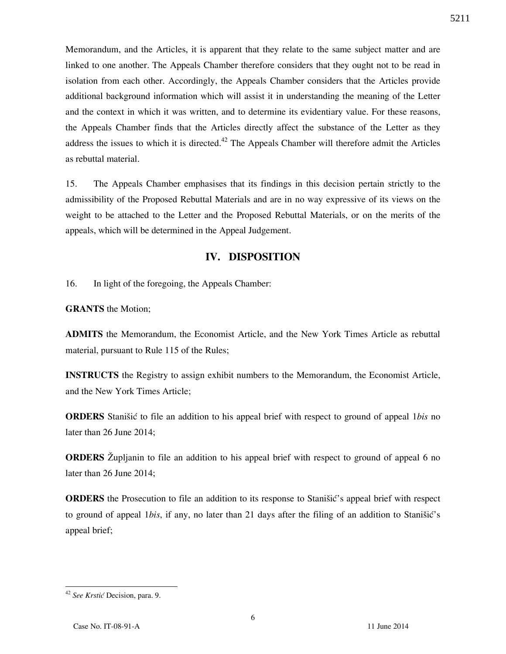Memorandum, and the Articles, it is apparent that they relate to the same subject matter and are linked to one another. The Appeals Chamber therefore considers that they ought not to be read in isolation from each other. Accordingly, the Appeals Chamber considers that the Articles provide additional background information which will assist it in understanding the meaning of the Letter and the context in which it was written, and to determine its evidentiary value. For these reasons, the Appeals Chamber finds that the Articles directly affect the substance of the Letter as they address the issues to which it is directed.<sup>42</sup> The Appeals Chamber will therefore admit the Articles as rebuttal material.

15. The Appeals Chamber emphasises that its findings in this decision pertain strictly to the admissibility of the Proposed Rebuttal Materials and are in no way expressive of its views on the weight to be attached to the Letter and the Proposed Rebuttal Materials, or on the merits of the appeals, which will be determined in the Appeal Judgement.

### **IV. DISPOSITION**

16. In light of the foregoing, the Appeals Chamber:

**GRANTS** the Motion;

**ADMITS** the Memorandum, the Economist Article, and the New York Times Article as rebuttal material, pursuant to Rule 115 of the Rules;

**INSTRUCTS** the Registry to assign exhibit numbers to the Memorandum, the Economist Article, and the New York Times Article;

**ORDERS** Stanišić to file an addition to his appeal brief with respect to ground of appeal 1*bis* no later than 26 June 2014;

**ORDERS** Zupljanin to file an addition to his appeal brief with respect to ground of appeal 6 no later than 26 June 2014;

**ORDERS** the Prosecution to file an addition to its response to Stanišić's appeal brief with respect to ground of appeal 1*bis*, if any, no later than 21 days after the filing of an addition to Stanišić's appeal brief;

6

<sup>&</sup>lt;sup>42</sup> See Krstić Decision, para. 9.